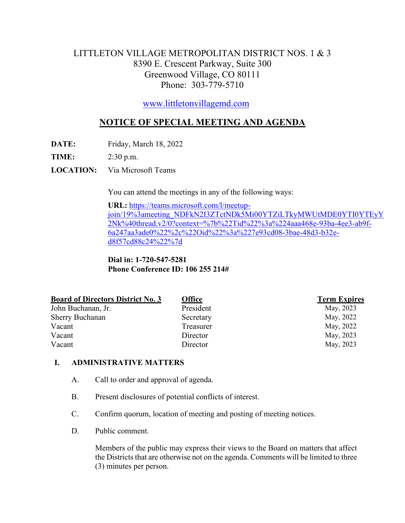# LITTLETON VILLAGE METROPOLITAN DISTRICT NOS. 1 & 3 8390 E. Crescent Parkway, Suite 300 Greenwood Village, CO 80111 Phone: 303-779-5710

[www.littletonvillagemd.com](http://www.littletonvillagemd.com/)

# **NOTICE OF SPECIAL MEETING AND AGENDA**

**DATE:** Friday, March 18, 2022

**TIME:** 2:30 p.m.

**LOCATION:** Via Microsoft Teams

You can attend the meetings in any of the following ways:

**URL:** [https://teams.microsoft.com/l/meetup](https://teams.microsoft.com/l/meetup-join/19%3ameeting_NDFkN2I3ZTctNDk5Mi00YTZiLTkyMWUtMDE0YTI0YTEyY2Nk%40thread.v2/0?context=%7b%22Tid%22%3a%224aaa468e-93ba-4ee3-ab9f-6a247aa3ade0%22%2c%22Oid%22%3a%227e93cd08-3bae-48d3-b32e-d8f57cd88c24%22%7d)[join/19%3ameeting\\_NDFkN2I3ZTctNDk5Mi00YTZiLTkyMWUtMDE0YTI0YTEyY](https://teams.microsoft.com/l/meetup-join/19%3ameeting_NDFkN2I3ZTctNDk5Mi00YTZiLTkyMWUtMDE0YTI0YTEyY2Nk%40thread.v2/0?context=%7b%22Tid%22%3a%224aaa468e-93ba-4ee3-ab9f-6a247aa3ade0%22%2c%22Oid%22%3a%227e93cd08-3bae-48d3-b32e-d8f57cd88c24%22%7d) [2Nk%40thread.v2/0?context=%7b%22Tid%22%3a%224aaa468e-93ba-4ee3-ab9f-](https://teams.microsoft.com/l/meetup-join/19%3ameeting_NDFkN2I3ZTctNDk5Mi00YTZiLTkyMWUtMDE0YTI0YTEyY2Nk%40thread.v2/0?context=%7b%22Tid%22%3a%224aaa468e-93ba-4ee3-ab9f-6a247aa3ade0%22%2c%22Oid%22%3a%227e93cd08-3bae-48d3-b32e-d8f57cd88c24%22%7d)[6a247aa3ade0%22%2c%22Oid%22%3a%227e93cd08-3bae-48d3-b32e](https://teams.microsoft.com/l/meetup-join/19%3ameeting_NDFkN2I3ZTctNDk5Mi00YTZiLTkyMWUtMDE0YTI0YTEyY2Nk%40thread.v2/0?context=%7b%22Tid%22%3a%224aaa468e-93ba-4ee3-ab9f-6a247aa3ade0%22%2c%22Oid%22%3a%227e93cd08-3bae-48d3-b32e-d8f57cd88c24%22%7d)[d8f57cd88c24%22%7d](https://teams.microsoft.com/l/meetup-join/19%3ameeting_NDFkN2I3ZTctNDk5Mi00YTZiLTkyMWUtMDE0YTI0YTEyY2Nk%40thread.v2/0?context=%7b%22Tid%22%3a%224aaa468e-93ba-4ee3-ab9f-6a247aa3ade0%22%2c%22Oid%22%3a%227e93cd08-3bae-48d3-b32e-d8f57cd88c24%22%7d)

**Dial in: 1-720-547-5281 Phone Conference ID: 106 255 214#**

| <b>Board of Directors District No. 3</b> | <b>Office</b> | <b>Term Expires</b> |
|------------------------------------------|---------------|---------------------|
| John Buchanan, Jr.                       | President     | May, 2023           |
| <b>Sherry Buchanan</b>                   | Secretary     | May, 2022           |
| Vacant                                   | Treasurer     | May, 2022           |
| Vacant                                   | Director      | May, 2023           |
| Vacant                                   | Director      | May, 2023           |

## **I. ADMINISTRATIVE MATTERS**

- A. Call to order and approval of agenda.
- B. Present disclosures of potential conflicts of interest.
- C. Confirm quorum, location of meeting and posting of meeting notices.
- D. Public comment.

Members of the public may express their views to the Board on matters that affect the Districts that are otherwise not on the agenda. Comments will be limited to three (3) minutes per person.